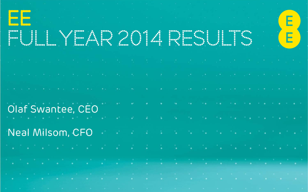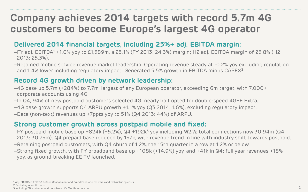# **Company achieves 2014 targets with record 5.7m 4G customers to become Europe's largest 4G operator**

### **Delivered 2014 financial targets, including 25%+ adj. EBITDA margin:**

- –FY adj. EBITDA<sup>1</sup> +1.0% yoy to £1,589m, a 25.1% (FY 2013: 24.3%) margin; H2 adj. EBITDA margin of 25.8% (H2 2013: 25.3%).
- –Retained mobile service revenue market leadership. Operating revenue steady at -0.2% yoy excluding regulation and 1.4% lower including regulatory impact. Generated 5.5% growth in EBITDA minus CAPEX<sup>2</sup>.

### **Record 4G growth driven by network leadership:**

- –4G base up 5.7m (+284%) to 7.7m, largest of any European operator, exceeding 6m target, with 7,000+ corporate accounts using 4G.
- –In Q4, 94% of new postpaid customers selected 4G; nearly half opted for double-speed 4GEE Extra.
- –4G base growth supports Q4 ARPU growth +1.1% yoy (Q3 2014: 1.6%), excluding regulatory impact.
- –Data (non-text) revenues up +7ppts yoy to 51% (Q4 2013: 44%) of ARPU.

#### **Strong customer growth across postpaid mobile and fixed:**

- –FY postpaid mobile base up +824k (+5.2%), Q4 +192k<sup>3</sup> yoy including M2M; total connections now 30.94m (Q4 2013: 30.75m). Q4 prepaid base reduced by 157k, with revenue trend in line with industry shift towards postpaid.
- –Retaining postpaid customers, with Q4 churn of 1.2%, the 15th quarter in a row at 1.2% or below.
- –Strong fixed growth, with FY broadband base up +108k (+14.9%) yoy, and +41k in Q4; full year revenues +18% yoy, as ground-breaking EE TV launched.

1 Adj. EBITDA is EBITDA before Management and Brand Fees, one-off items and restructuring costs

2 Excluding one-off items

<sup>3</sup> Including 71k customer additions from Life Mobile acquisition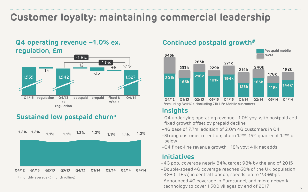# **Customer loyalty: maintaining commercial leadership**

#### **Q4 operating revenue –1.0% ex. regulation, £m**



### **Sustained low postpaid churn<sup>a</sup>**



#### **Continued postpaid growth#**



#### **Insights**

- –Q4 underlying operating revenue –1.0% yoy, with postpaid and fixed growth offset by prepaid decline
- –4G base of 7.7m; addition of 2.0m 4G customers in Q4
- –Strong customer retention; churn 1.2%, 15th quarter at 1.2% or below
- –Q4 fixed-line revenue growth +18% yoy; 41k net adds

#### **Initiatives**

- –4G pop. coverage nearly 84%, target 98% by the end of 2015
- –Double-speed 4G coverage reaches 60% of the UK population; 4G+ (LTE-A) in central London, speeds up to 150Mbps
- –Announced 4G coverage in Eurotunnel, and micro network technology to cover 1,500 villages by end of 2017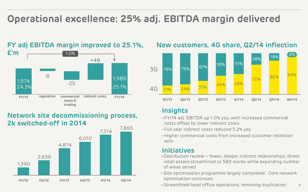# **Operational excellence: 25% adj. EBITDA margin delivered**



#### **FY adj EBITDA margin improved to 25.1%,**

### **Network site decommissioning process, 2k switched-off in 2014**



### **New customers, 4G share, Q2/14 inflection**



#### **Insights**

- –FY/14 adj. EBITDA up 1.0% yoy, with increased commercial costs offset by lower indirect costs
- –Full year indirect costs reduced 3.2% yoy
- –Higher commercial costs from increased customer retention acts

#### **Initiatives**

- –Distribution review fewer, deeper indirect relationships; direct retail estate streamlined to 580 stores while expanding number of areas served
- –Site optimisation programme largely completed. Core network optimisation continues
- 4 –Streamlined head office operations, removing duplication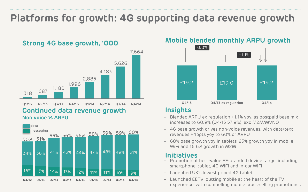# **Platforms for growth: 4G supporting data revenue growth**







## **Strong 4G base growth, '000 Mobile blended monthly ARPU growth**



#### **Insights**

- Blended ARPU ex regulation +1.1% yoy, as postpaid base mix increases to 60.9% (Q4/13 57.9%), exc M2M/MVNO
- 4G base growth drives non-voice revenues, with data/text revenues +4ppts yoy to 60% of ARPU
- 68% base growth yoy in tablets, 25% growth yoy in mobile WiFi and 16.6% growth in M2M

#### **Initiatives**

- Promotion of best-value EE-branded device range, including smartphone, tablet, 4G WiFi and in-car WiFi
- Launched UK's lowest priced 4G tablet
- experience, with compelling mobile cross-selling promotions5 – Launched EETV, putting mobile at the heart of the TV